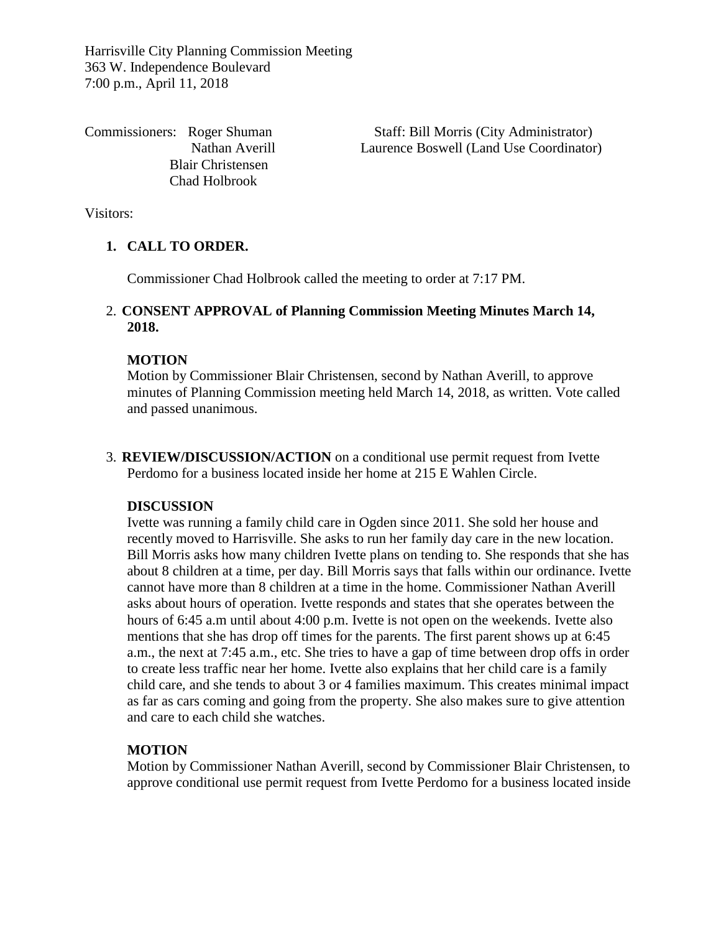Harrisville City Planning Commission Meeting 363 W. Independence Boulevard 7:00 p.m., April 11, 2018

 Blair Christensen Chad Holbrook

Commissioners: Roger Shuman Staff: Bill Morris (City Administrator) Nathan Averill Laurence Boswell (Land Use Coordinator)

Visitors:

# **1. CALL TO ORDER.**

Commissioner Chad Holbrook called the meeting to order at 7:17 PM.

# 2. **CONSENT APPROVAL of Planning Commission Meeting Minutes March 14, 2018.**

## **MOTION**

Motion by Commissioner Blair Christensen, second by Nathan Averill, to approve minutes of Planning Commission meeting held March 14, 2018, as written. Vote called and passed unanimous.

3. **REVIEW/DISCUSSION/ACTION** on a conditional use permit request from Ivette Perdomo for a business located inside her home at 215 E Wahlen Circle.

#### **DISCUSSION**

Ivette was running a family child care in Ogden since 2011. She sold her house and recently moved to Harrisville. She asks to run her family day care in the new location. Bill Morris asks how many children Ivette plans on tending to. She responds that she has about 8 children at a time, per day. Bill Morris says that falls within our ordinance. Ivette cannot have more than 8 children at a time in the home. Commissioner Nathan Averill asks about hours of operation. Ivette responds and states that she operates between the hours of 6:45 a.m until about 4:00 p.m. Ivette is not open on the weekends. Ivette also mentions that she has drop off times for the parents. The first parent shows up at 6:45 a.m., the next at 7:45 a.m., etc. She tries to have a gap of time between drop offs in order to create less traffic near her home. Ivette also explains that her child care is a family child care, and she tends to about 3 or 4 families maximum. This creates minimal impact as far as cars coming and going from the property. She also makes sure to give attention and care to each child she watches.

## **MOTION**

Motion by Commissioner Nathan Averill, second by Commissioner Blair Christensen, to approve conditional use permit request from Ivette Perdomo for a business located inside